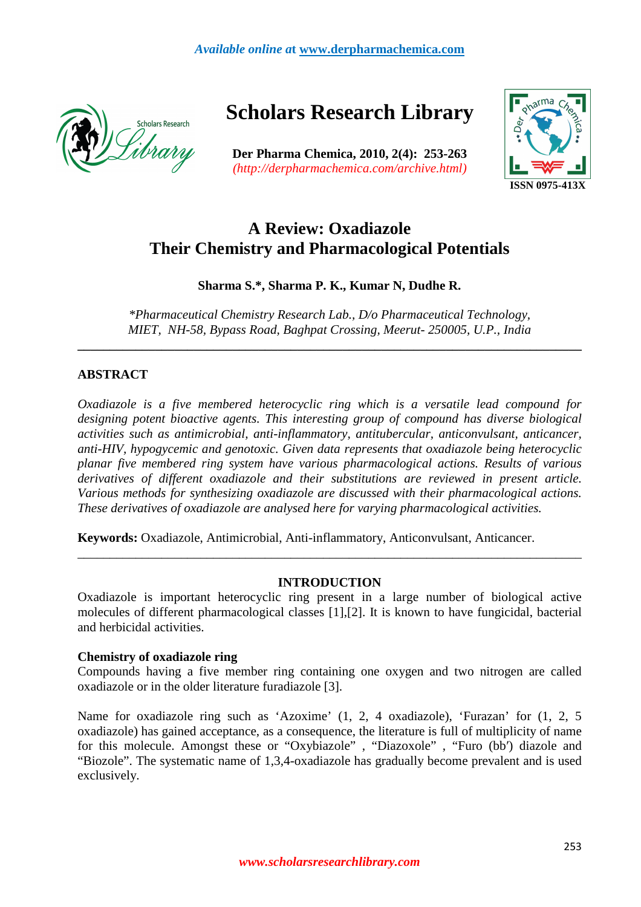

**Scholars Research Library** 

**Der Pharma Chemica, 2010, 2(4): 253-263**  *(http://derpharmachemica.com/archive.html)* 



# **A Review: Oxadiazole Their Chemistry and Pharmacological Potentials**

# **Sharma S.\*, Sharma P. K., Kumar N, Dudhe R.**

*\*Pharmaceutical Chemistry Research Lab., D/o Pharmaceutical Technology, MIET, NH-58, Bypass Road, Baghpat Crossing, Meerut- 250005, U.P., India* 

**\_\_\_\_\_\_\_\_\_\_\_\_\_\_\_\_\_\_\_\_\_\_\_\_\_\_\_\_\_\_\_\_\_\_\_\_\_\_\_\_\_\_\_\_\_\_\_\_\_\_\_\_\_\_\_\_\_\_\_\_\_\_\_\_\_\_\_\_\_\_\_\_\_\_\_\_\_\_** 

# **ABSTRACT**

*Oxadiazole is a five membered heterocyclic ring which is a versatile lead compound for designing potent bioactive agents. This interesting group of compound has diverse biological activities such as antimicrobial, anti-inflammatory, antitubercular, anticonvulsant, anticancer, anti-HIV, hypogycemic and genotoxic. Given data represents that oxadiazole being heterocyclic planar five membered ring system have various pharmacological actions. Results of various derivatives of different oxadiazole and their substitutions are reviewed in present article. Various methods for synthesizing oxadiazole are discussed with their pharmacological actions. These derivatives of oxadiazole are analysed here for varying pharmacological activities.* 

**Keywords:** Oxadiazole, Antimicrobial, Anti-inflammatory, Anticonvulsant, Anticancer.

## **INTRODUCTION**

\_\_\_\_\_\_\_\_\_\_\_\_\_\_\_\_\_\_\_\_\_\_\_\_\_\_\_\_\_\_\_\_\_\_\_\_\_\_\_\_\_\_\_\_\_\_\_\_\_\_\_\_\_\_\_\_\_\_\_\_\_\_\_\_\_\_\_\_\_\_\_\_\_\_\_\_\_\_

Oxadiazole is important heterocyclic ring present in a large number of biological active molecules of different pharmacological classes [1],[2]. It is known to have fungicidal, bacterial and herbicidal activities.

## **Chemistry of oxadiazole ring**

Compounds having a five member ring containing one oxygen and two nitrogen are called oxadiazole or in the older literature furadiazole [3].

Name for oxadiazole ring such as 'Azoxime' (1, 2, 4 oxadiazole), 'Furazan' for (1, 2, 5 oxadiazole) has gained acceptance, as a consequence, the literature is full of multiplicity of name for this molecule. Amongst these or "Oxybiazole" , "Diazoxole" , "Furo (bb′) diazole and "Biozole". The systematic name of 1,3,4-oxadiazole has gradually become prevalent and is used exclusively.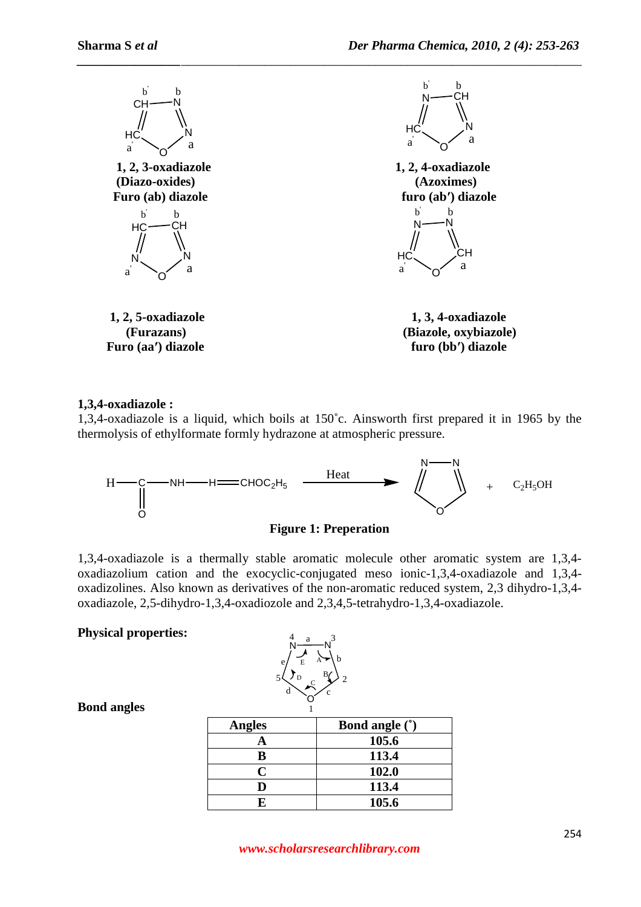

## **1,3,4-oxadiazole :**

1,3,4-oxadiazole is a liquid, which boils at 150˚c. Ainsworth first prepared it in 1965 by the thermolysis of ethylformate formly hydrazone at atmospheric pressure.





1,3,4-oxadiazole is a thermally stable aromatic molecule other aromatic system are 1,3,4 oxadiazolium cation and the exocyclic-conjugated meso ionic-1,3,4-oxadiazole and 1,3,4 oxadizolines. Also known as derivatives of the non-aromatic reduced system, 2,3 dihydro-1,3,4 oxadiazole, 2,5-dihydro-1,3,4-oxadiozole and 2,3,4,5-tetrahydro-1,3,4-oxadiazole.

## **Physical properties:**



## **Bond angles**

| <b>Angles</b> | <b>Bond angle (*)</b> |
|---------------|-----------------------|
|               | 105.6                 |
|               | 113.4                 |
| r             | 102.0                 |
|               | 113.4                 |
|               | 105.6                 |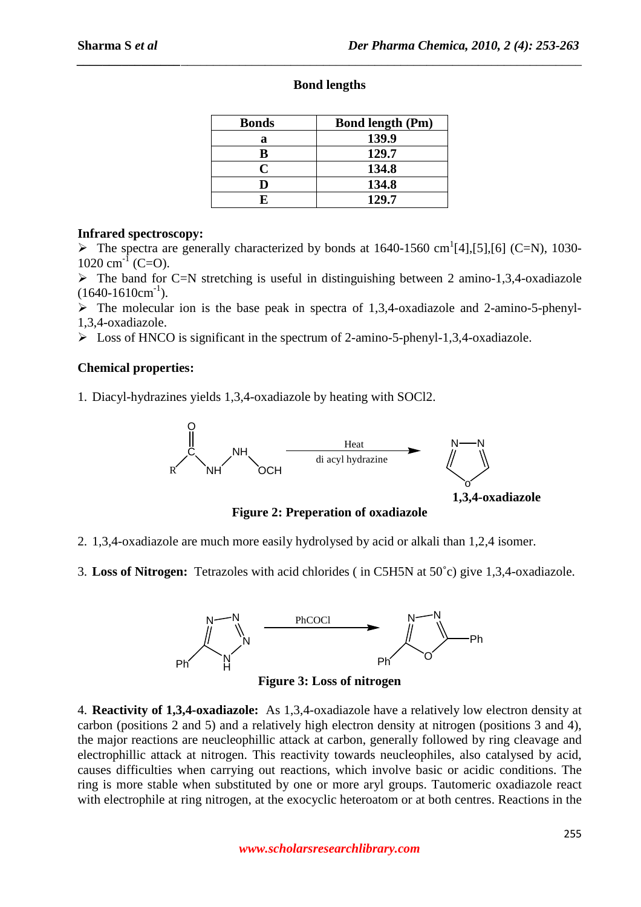*\_\_\_\_\_\_\_\_\_\_\_\_\_\_\_\_\_\_\_\_\_\_\_\_\_\_\_\_\_\_\_\_\_\_\_\_\_\_\_\_\_\_\_\_\_\_\_\_\_\_\_\_\_\_\_\_\_\_\_\_\_\_\_\_\_\_\_\_\_\_\_\_\_\_\_\_\_\_*

| <b>Bonds</b> | <b>Bond length (Pm)</b> |
|--------------|-------------------------|
| a            | 139.9                   |
| B            | 129.7                   |
| C            | 134.8                   |
|              | 134.8                   |
|              | 129.7                   |

## **Infrared spectroscopy:**

 $\triangleright$  The spectra are generally characterized by bonds at 1640-1560 cm<sup>1</sup>[4],[5],[6] (C=N), 1030- $1020 \text{ cm}^{-1}$  (C=O).

 $\triangleright$  The band for C=N stretching is useful in distinguishing between 2 amino-1,3,4-oxadiazole  $(1640-1610cm^{-1})$ .

 $\triangleright$  The molecular ion is the base peak in spectra of 1,3,4-oxadiazole and 2-amino-5-phenyl-1,3,4-oxadiazole.

 $\triangleright$  Loss of HNCO is significant in the spectrum of 2-amino-5-phenyl-1,3,4-oxadiazole.

# **Chemical properties:**

1. Diacyl-hydrazines yields 1,3,4-oxadiazole by heating with SOCl2.



**Figure 2: Preperation of oxadiazole** 

2. 1,3,4-oxadiazole are much more easily hydrolysed by acid or alkali than 1,2,4 isomer.

3. **Loss of Nitrogen:** Tetrazoles with acid chlorides ( in C5H5N at 50˚c) give 1,3,4-oxadiazole.



4. **Reactivity of 1,3,4-oxadiazole:** As 1,3,4-oxadiazole have a relatively low electron density at carbon (positions 2 and 5) and a relatively high electron density at nitrogen (positions 3 and 4), the major reactions are neucleophillic attack at carbon, generally followed by ring cleavage and electrophillic attack at nitrogen. This reactivity towards neucleophiles, also catalysed by acid, causes difficulties when carrying out reactions, which involve basic or acidic conditions. The ring is more stable when substituted by one or more aryl groups. Tautomeric oxadiazole react with electrophile at ring nitrogen, at the exocyclic heteroatom or at both centres. Reactions in the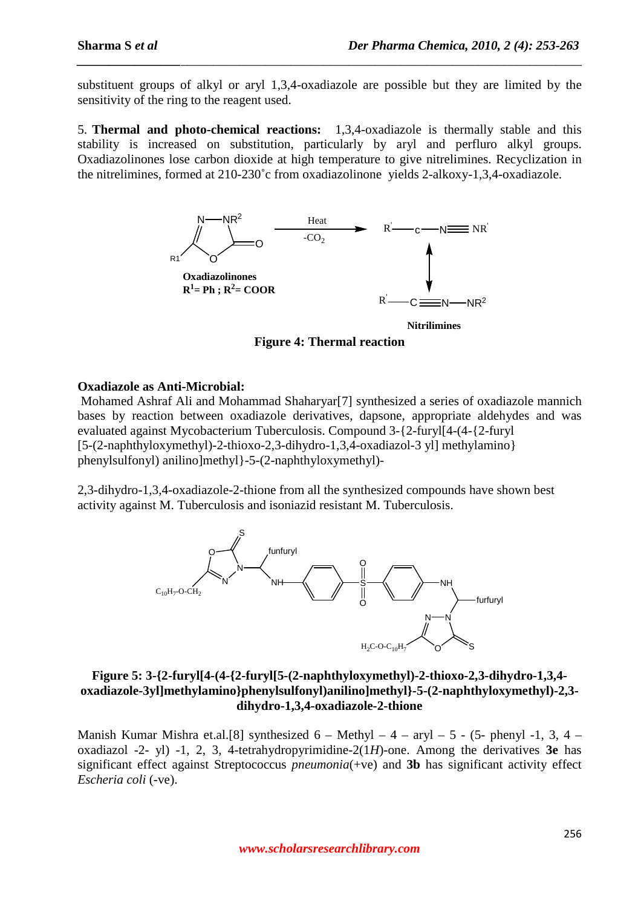substituent groups of alkyl or aryl 1,3,4-oxadiazole are possible but they are limited by the sensitivity of the ring to the reagent used.

*\_\_\_\_\_\_\_\_\_\_\_\_\_\_\_\_\_\_\_\_\_\_\_\_\_\_\_\_\_\_\_\_\_\_\_\_\_\_\_\_\_\_\_\_\_\_\_\_\_\_\_\_\_\_\_\_\_\_\_\_\_\_\_\_\_\_\_\_\_\_\_\_\_\_\_\_\_\_*

5. **Thermal and photo-chemical reactions:** 1,3,4-oxadiazole is thermally stable and this stability is increased on substitution, particularly by aryl and perfluro alkyl groups. Oxadiazolinones lose carbon dioxide at high temperature to give nitrelimines. Recyclization in the nitrelimines, formed at 210-230˚c from oxadiazolinone yields 2-alkoxy-1,3,4-oxadiazole.



**Figure 4: Thermal reaction** 

## **Oxadiazole as Anti-Microbial:**

Mohamed Ashraf Ali and Mohammad Shaharyar[7] synthesized a series of oxadiazole mannich bases by reaction between oxadiazole derivatives, dapsone, appropriate aldehydes and was evaluated against Mycobacterium Tuberculosis. Compound 3-{2-furyl[4-(4-{2-furyl [5-(2-naphthyloxymethyl)-2-thioxo-2,3-dihydro-1,3,4-oxadiazol-3 yl] methylamino} phenylsulfonyl) anilino]methyl}-5-(2-naphthyloxymethyl)-

2,3-dihydro-1,3,4-oxadiazole-2-thione from all the synthesized compounds have shown best activity against M. Tuberculosis and isoniazid resistant M. Tuberculosis.



## **Figure 5: 3-{2-furyl[4-(4-{2-furyl[5-(2-naphthyloxymethyl)-2-thioxo-2,3-dihydro-1,3,4 oxadiazole-3yl]methylamino}phenylsulfonyl)anilino]methyl}-5-(2-naphthyloxymethyl)-2,3 dihydro-1,3,4-oxadiazole-2-thione**

Manish Kumar Mishra et.al.[8] synthesized  $6 -$  Methyl  $- 4 -$  aryl  $- 5 - (5 -$  phenyl  $-1, 3, 4$ oxadiazol -2- yl) -1, 2, 3, 4-tetrahydropyrimidine-2(1*H*)-one. Among the derivatives **3e** has significant effect against Streptococcus *pneumonia*(+ve) and **3b** has significant activity effect *Escheria coli* (-ve).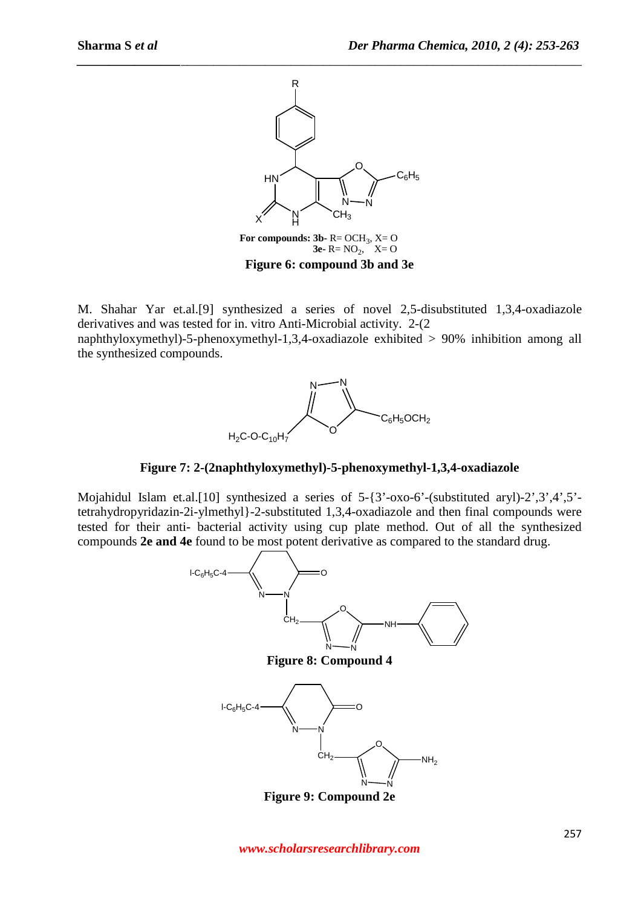

*\_\_\_\_\_\_\_\_\_\_\_\_\_\_\_\_\_\_\_\_\_\_\_\_\_\_\_\_\_\_\_\_\_\_\_\_\_\_\_\_\_\_\_\_\_\_\_\_\_\_\_\_\_\_\_\_\_\_\_\_\_\_\_\_\_\_\_\_\_\_\_\_\_\_\_\_\_\_*

For compounds: 3b- R= OCH<sub>3</sub>, X= O **3e-**  $R = NO_2$ ,  $X = O$ **Figure 6: compound 3b and 3e** 

M. Shahar Yar et.al.[9] synthesized a series of novel 2,5-disubstituted 1,3,4-oxadiazole derivatives and was tested for in. vitro Anti-Microbial activity. 2-(2

naphthyloxymethyl)-5-phenoxymethyl-1,3,4-oxadiazole exhibited > 90% inhibition among all the synthesized compounds.



**Figure 7: 2-(2naphthyloxymethyl)-5-phenoxymethyl-1,3,4-oxadiazole** 

Mojahidul Islam et.al.[10] synthesized a series of 5-{3'-oxo-6'-(substituted aryl)-2',3',4',5' tetrahydropyridazin-2i-ylmethyl}-2-substituted 1,3,4-oxadiazole and then final compounds were tested for their anti- bacterial activity using cup plate method. Out of all the synthesized compounds **2e and 4e** found to be most potent derivative as compared to the standard drug.

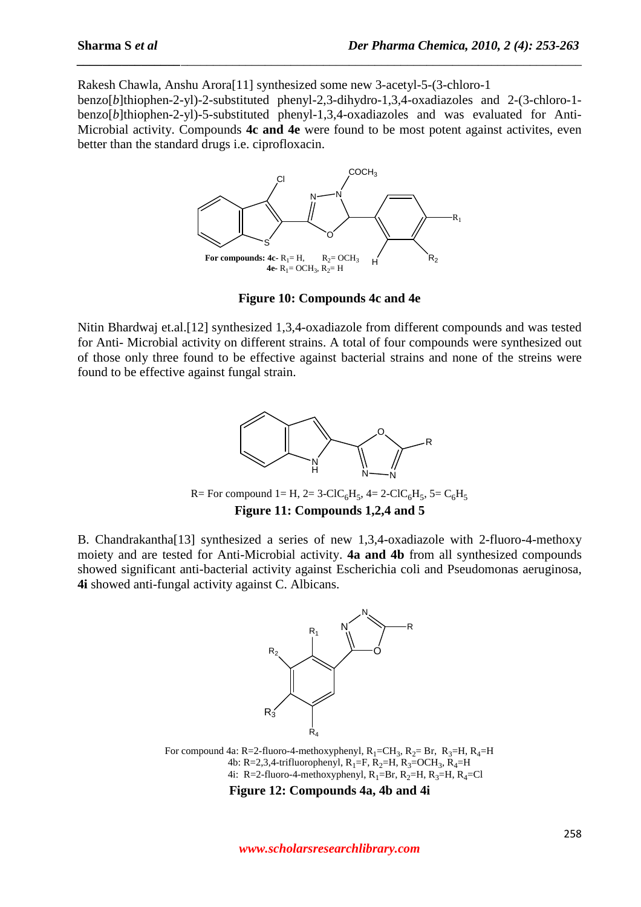Rakesh Chawla, Anshu Arora[11] synthesized some new 3-acetyl-5-(3-chloro-1

benzo[*b*]thiophen-2-yl)-2-substituted phenyl-2,3-dihydro-1,3,4-oxadiazoles and 2-(3-chloro-1 benzo[*b*]thiophen-2-yl)-5-substituted phenyl-1,3,4-oxadiazoles and was evaluated for Anti-Microbial activity. Compounds **4c and 4e** were found to be most potent against activites, even better than the standard drugs i.e. ciprofloxacin.

*\_\_\_\_\_\_\_\_\_\_\_\_\_\_\_\_\_\_\_\_\_\_\_\_\_\_\_\_\_\_\_\_\_\_\_\_\_\_\_\_\_\_\_\_\_\_\_\_\_\_\_\_\_\_\_\_\_\_\_\_\_\_\_\_\_\_\_\_\_\_\_\_\_\_\_\_\_\_*



**Figure 10: Compounds 4c and 4e** 

Nitin Bhardwaj et.al.[12] synthesized 1,3,4-oxadiazole from different compounds and was tested for Anti- Microbial activity on different strains. A total of four compounds were synthesized out of those only three found to be effective against bacterial strains and none of the streins were found to be effective against fungal strain.



R= For compound 1= H, 2= 3-ClC<sub>6</sub>H<sub>5</sub>, 4= 2-ClC<sub>6</sub>H<sub>5</sub>, 5= C<sub>6</sub>H<sub>5</sub> **Figure 11: Compounds 1,2,4 and 5** 

B. Chandrakantha[13] synthesized a series of new 1,3,4-oxadiazole with 2-fluoro-4-methoxy moiety and are tested for Anti-Microbial activity. **4a and 4b** from all synthesized compounds showed significant anti-bacterial activity against Escherichia coli and Pseudomonas aeruginosa, **4i** showed anti-fungal activity against C. Albicans.



For compound 4a: R=2-fluoro-4-methoxyphenyl,  $R_1=CH_3$ ,  $R_2=Br$ ,  $R_3=H$ ,  $R_4=H$ 4b: R=2,3,4-trifluorophenyl,  $R_1 = F$ ,  $R_2 = H$ ,  $R_3 = OCH_3$ ,  $R_4 = H$ 4i: R=2-fluoro-4-methoxyphenyl,  $R_1=Br$ ,  $R_2=H$ ,  $R_3=H$ ,  $R_4=Cl$ 

**Figure 12: Compounds 4a, 4b and 4i**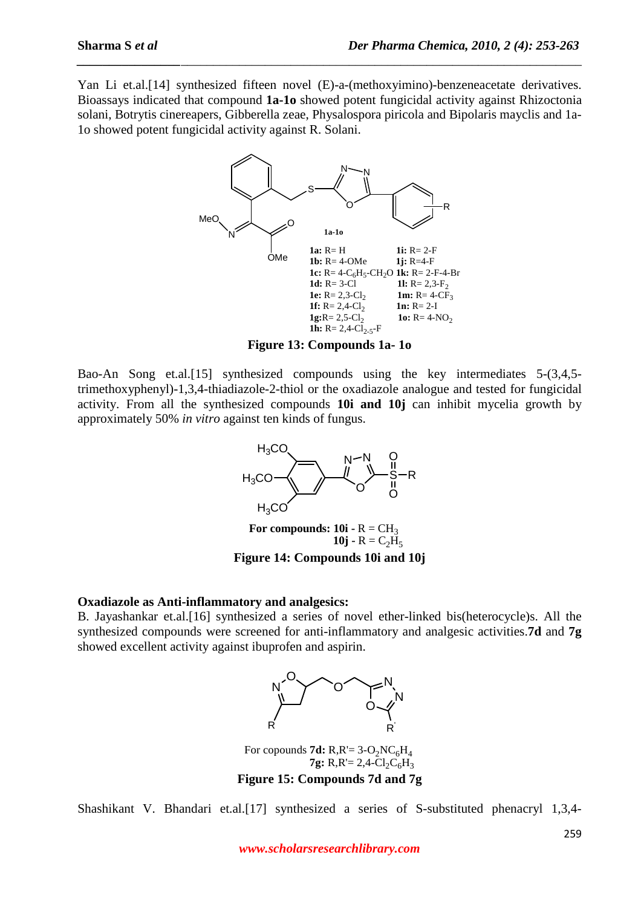Yan Li et.al.<sup>[14]</sup> synthesized fifteen novel (E)-a-(methoxyimino)-benzeneacetate derivatives. Bioassays indicated that compound **1a-1o** showed potent fungicidal activity against Rhizoctonia solani, Botrytis cinereapers, Gibberella zeae, Physalospora piricola and Bipolaris mayclis and 1a-1o showed potent fungicidal activity against R. Solani.

*\_\_\_\_\_\_\_\_\_\_\_\_\_\_\_\_\_\_\_\_\_\_\_\_\_\_\_\_\_\_\_\_\_\_\_\_\_\_\_\_\_\_\_\_\_\_\_\_\_\_\_\_\_\_\_\_\_\_\_\_\_\_\_\_\_\_\_\_\_\_\_\_\_\_\_\_\_\_*



**Figure 13: Compounds 1a- 1o** 

Bao-An Song et.al.[15] synthesized compounds using the key intermediates 5-(3,4,5 trimethoxyphenyl)-1,3,4-thiadiazole-2-thiol or the oxadiazole analogue and tested for fungicidal activity. From all the synthesized compounds **10i and 10j** can inhibit mycelia growth by approximately 50% *in vitro* against ten kinds of fungus.



**Figure 14: Compounds 10i and 10j** 

## **Oxadiazole as Anti-inflammatory and analgesics:**

B. Jayashankar et.al.[16] synthesized a series of novel ether-linked bis(heterocycle)s. All the synthesized compounds were screened for anti-inflammatory and analgesic activities.**7d** and **7g**  showed excellent activity against ibuprofen and aspirin.



For copounds **7d:**  $R_1R_2 = 3 - 0$ <sub>2</sub> $N_cH_4$ **7g:** R,R'= 2,4- $Cl_2C_6H_3$ **Figure 15: Compounds 7d and 7g** 

Shashikant V. Bhandari et.al.[17] synthesized a series of S-substituted phenacryl 1,3,4-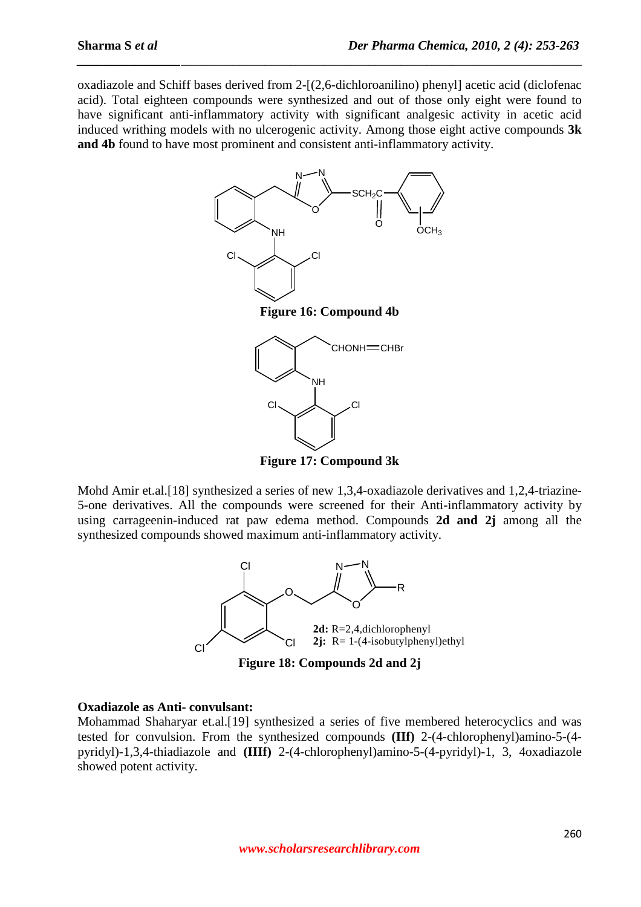oxadiazole and Schiff bases derived from 2-[(2,6-dichloroanilino) phenyl] acetic acid (diclofenac acid). Total eighteen compounds were synthesized and out of those only eight were found to have significant anti-inflammatory activity with significant analgesic activity in acetic acid induced writhing models with no ulcerogenic activity. Among those eight active compounds **3k and 4b** found to have most prominent and consistent anti-inflammatory activity.

*\_\_\_\_\_\_\_\_\_\_\_\_\_\_\_\_\_\_\_\_\_\_\_\_\_\_\_\_\_\_\_\_\_\_\_\_\_\_\_\_\_\_\_\_\_\_\_\_\_\_\_\_\_\_\_\_\_\_\_\_\_\_\_\_\_\_\_\_\_\_\_\_\_\_\_\_\_\_*



**Figure 17: Compound 3k** 

Mohd Amir et.al.<sup>[18]</sup> synthesized a series of new 1,3,4-oxadiazole derivatives and 1,2,4-triazine-5-one derivatives. All the compounds were screened for their Anti-inflammatory activity by using carrageenin-induced rat paw edema method. Compounds **2d and 2j** among all the synthesized compounds showed maximum anti-inflammatory activity.



**Figure 18: Compounds 2d and 2j** 

## **Oxadiazole as Anti- convulsant:**

Mohammad Shaharyar et.al.[19] synthesized a series of five membered heterocyclics and was tested for convulsion. From the synthesized compounds **(IIf)** 2-(4-chlorophenyl)amino-5-(4 pyridyl)-1,3,4-thiadiazole and **(IIIf)** 2-(4-chlorophenyl)amino-5-(4-pyridyl)-1, 3, 4oxadiazole showed potent activity.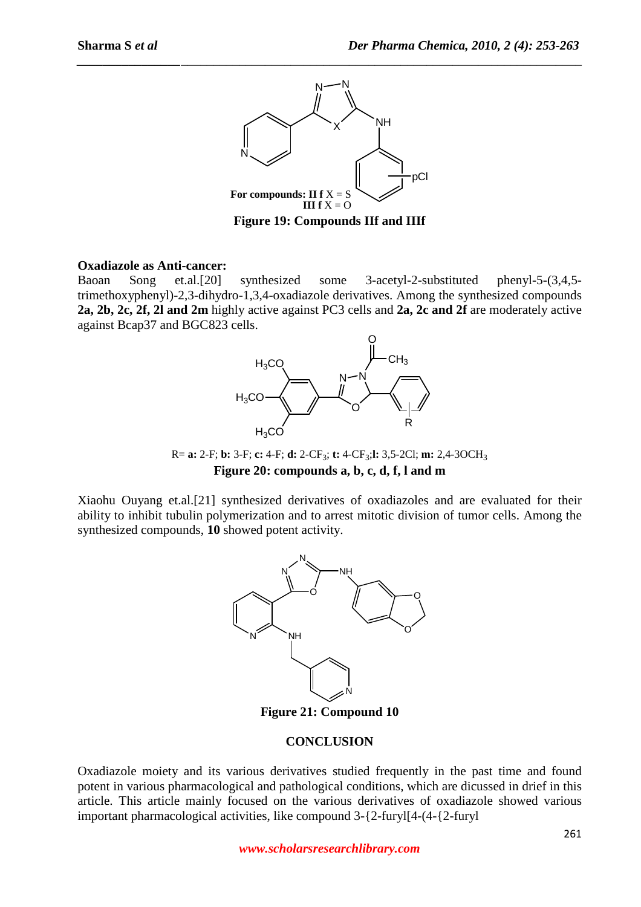

*\_\_\_\_\_\_\_\_\_\_\_\_\_\_\_\_\_\_\_\_\_\_\_\_\_\_\_\_\_\_\_\_\_\_\_\_\_\_\_\_\_\_\_\_\_\_\_\_\_\_\_\_\_\_\_\_\_\_\_\_\_\_\_\_\_\_\_\_\_\_\_\_\_\_\_\_\_\_*

#### **Oxadiazole as Anti-cancer:**

Baoan Song et.al.[20] synthesized some 3-acetyl-2-substituted phenyl-5-(3,4,5 trimethoxyphenyl)-2,3-dihydro-1,3,4-oxadiazole derivatives. Among the synthesized compounds **2a, 2b, 2c, 2f, 2l and 2m** highly active against PC3 cells and **2a, 2c and 2f** are moderately active against Bcap37 and BGC823 cells.



R= **a:** 2-F; **b:** 3-F; **c:** 4-F; **d:** 2-CF<sup>3</sup> ; **t:** 4-CF<sup>3</sup> ;**l:** 3,5-2Cl; **m:** 2,4-3OCH<sup>3</sup> **Figure 20: compounds a, b, c, d, f, l and m** 

Xiaohu Ouyang et.al.[21] synthesized derivatives of oxadiazoles and are evaluated for their ability to inhibit tubulin polymerization and to arrest mitotic division of tumor cells. Among the synthesized compounds, **10** showed potent activity.



**Figure 21: Compound 10** 

## **CONCLUSION**

Oxadiazole moiety and its various derivatives studied frequently in the past time and found potent in various pharmacological and pathological conditions, which are dicussed in drief in this article. This article mainly focused on the various derivatives of oxadiazole showed various important pharmacological activities, like compound 3-{2-furyl[4-(4-{2-furyl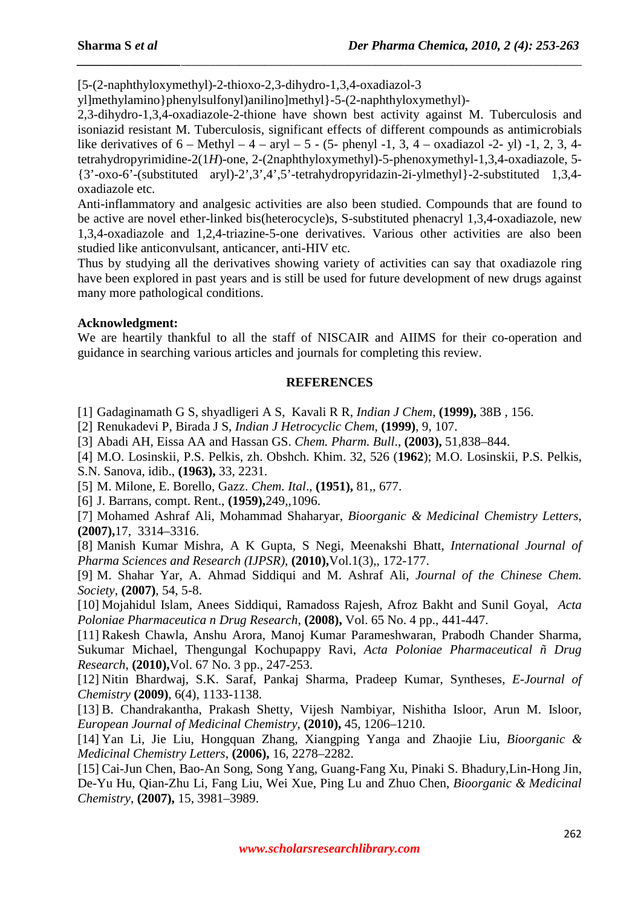[5-(2-naphthyloxymethyl)-2-thioxo-2,3-dihydro-1,3,4-oxadiazol-3

yl]methylamino}phenylsulfonyl)anilino]methyl}-5-(2-naphthyloxymethyl)-

2,3-dihydro-1,3,4-oxadiazole-2-thione have shown best activity against M. Tuberculosis and isoniazid resistant M. Tuberculosis, significant effects of different compounds as antimicrobials like derivatives of  $6 - \text{Methyl} - 4 - \text{aryl} - 5 - (5 - \text{phenyl} - 1, 3, 4 - \text{oxadiazol} - 2 - \text{vl}) -1, 2, 3, 4 - \text{clustol} - 4 - \text{aryl} - 4 - \text{aryl} - 4 - \text{chil} - 4 - \text{chil} - 4 - \text{chil} - 4 - \text{chil} - 4 - \text{chil} - 4 - \text{chil} - 4 - \text{chil} - 4 - \text{chil} - 4 - \text{chil} - 4 - \text{chil} - 4$ tetrahydropyrimidine-2(1*H*)-one, 2-(2naphthyloxymethyl)-5-phenoxymethyl-1,3,4-oxadiazole, 5- {3'-oxo-6'-(substituted aryl)-2',3',4',5'-tetrahydropyridazin-2i-ylmethyl}-2-substituted 1,3,4 oxadiazole etc.

*\_\_\_\_\_\_\_\_\_\_\_\_\_\_\_\_\_\_\_\_\_\_\_\_\_\_\_\_\_\_\_\_\_\_\_\_\_\_\_\_\_\_\_\_\_\_\_\_\_\_\_\_\_\_\_\_\_\_\_\_\_\_\_\_\_\_\_\_\_\_\_\_\_\_\_\_\_\_*

Anti-inflammatory and analgesic activities are also been studied. Compounds that are found to be active are novel ether-linked bis(heterocycle)s, S-substituted phenacryl 1,3,4-oxadiazole, new 1,3,4-oxadiazole and 1,2,4-triazine-5-one derivatives. Various other activities are also been studied like anticonvulsant, anticancer, anti-HIV etc.

Thus by studying all the derivatives showing variety of activities can say that oxadiazole ring have been explored in past years and is still be used for future development of new drugs against many more pathological conditions.

## **Acknowledgment:**

We are heartily thankful to all the staff of NISCAIR and AIIMS for their co-operation and guidance in searching various articles and journals for completing this review.

# **REFERENCES**

[1] Gadaginamath G S, shyadligeri A S, Kavali R R, *Indian J Chem*, **(1999),** 38B , 156.

[2] Renukadevi P, Birada J S, *Indian J Hetrocyclic Chem*, **(1999)**, 9, 107.

[3] Abadi AH, Eissa AA and Hassan GS. *Chem. Pharm. Bull*., **(2003),** 51,838–844.

[4] M.O. Losinskii, P.S. Pelkis, zh. Obshch. Khim. 32, 526 (**1962**); M.O. Losinskii, P.S. Pelkis, S.N. Sanova, idib., **(1963),** 33, 2231.

[5] M. Milone, E. Borello, Gazz. *Chem. Ital*., **(1951),** 81,, 677.

[6] J. Barrans, compt. Rent., **(1959),**249,,1096.

[7] Mohamed Ashraf Ali, Mohammad Shaharyar, *Bioorganic & Medicinal Chemistry Letters*, **(2007),**17, 3314–3316.

[8] Manish Kumar Mishra, A K Gupta, S Negi, Meenakshi Bhatt, *International Journal of Pharma Sciences and Research (IJPSR)*, **(2010),**Vol.1(3),, 172-177.

[9] M. Shahar Yar, A. Ahmad Siddiqui and M. Ashraf Ali, *Journal of the Chinese Chem. Society*, **(2007)**, 54, 5-8.

[10] Mojahidul Islam, Anees Siddiqui, Ramadoss Rajesh, Afroz Bakht and Sunil Goyal, *Acta Poloniae Pharmaceutica n Drug Research*, **(2008),** Vol. 65 No. 4 pp., 441-447.

[11] Rakesh Chawla, Anshu Arora, Manoj Kumar Parameshwaran, Prabodh Chander Sharma, Sukumar Michael, Thengungal Kochupappy Ravi, *Acta Poloniae Pharmaceutical ñ Drug Research*, **(2010),**Vol. 67 No. 3 pp., 247-253.

[12] Nitin Bhardwaj, S.K. Saraf, Pankaj Sharma, Pradeep Kumar, Syntheses, *E-Journal of Chemistry* **(2009)**, 6(4), 1133-1138.

[13] B. Chandrakantha, Prakash Shetty, Vijesh Nambiyar, Nishitha Isloor, Arun M. Isloor, *European Journal of Medicinal Chemistry*, **(2010),** 45, 1206–1210.

[14] Yan Li, Jie Liu, Hongquan Zhang, Xiangping Yanga and Zhaojie Liu, *Bioorganic & Medicinal Chemistry Letters*, **(2006),** 16, 2278–2282.

[15] Cai-Jun Chen, Bao-An Song, Song Yang, Guang-Fang Xu, Pinaki S. Bhadury,Lin-Hong Jin, De-Yu Hu, Qian-Zhu Li, Fang Liu, Wei Xue, Ping Lu and Zhuo Chen, *Bioorganic & Medicinal Chemistry*, **(2007),** 15, 3981–3989.